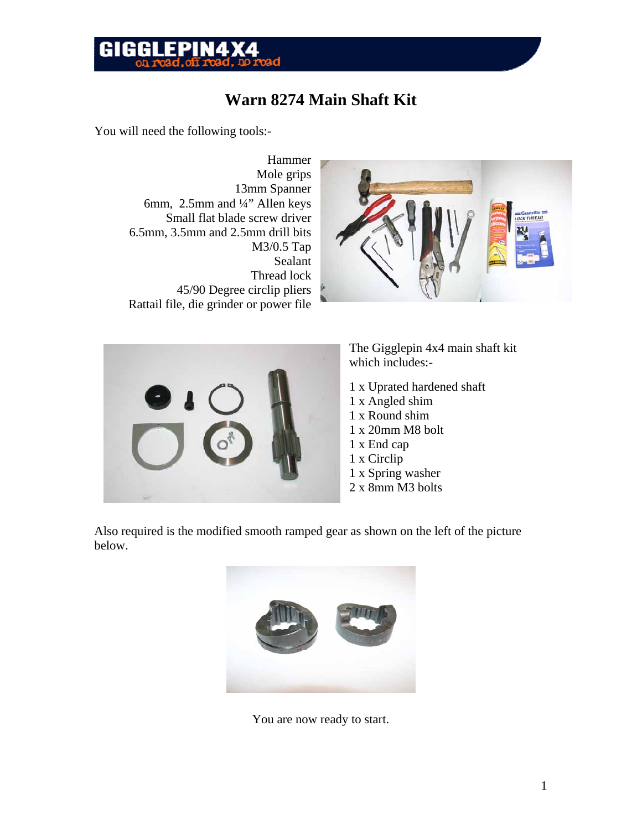## **GIGGLEPIN4X**

### **Warn 8274 Main Shaft Kit**

You will need the following tools:-

Hammer Mole grips 13mm Spanner 6mm, 2.5mm and ¼" Allen keys Small flat blade screw driver 6.5mm, 3.5mm and 2.5mm drill bits M3/0.5 Tap Sealant Thread lock 45/90 Degree circlip pliers Rattail file, die grinder or power file





The Gigglepin 4x4 main shaft kit which includes:-

- 1 x Uprated hardened shaft
- 1 x Angled shim
- 1 x Round shim
- 1 x 20mm M8 bolt
- 1 x End cap
- 1 x Circlip
- 1 x Spring washer
- 2 x 8mm M3 bolts

Also required is the modified smooth ramped gear as shown on the left of the picture below.



You are now ready to start.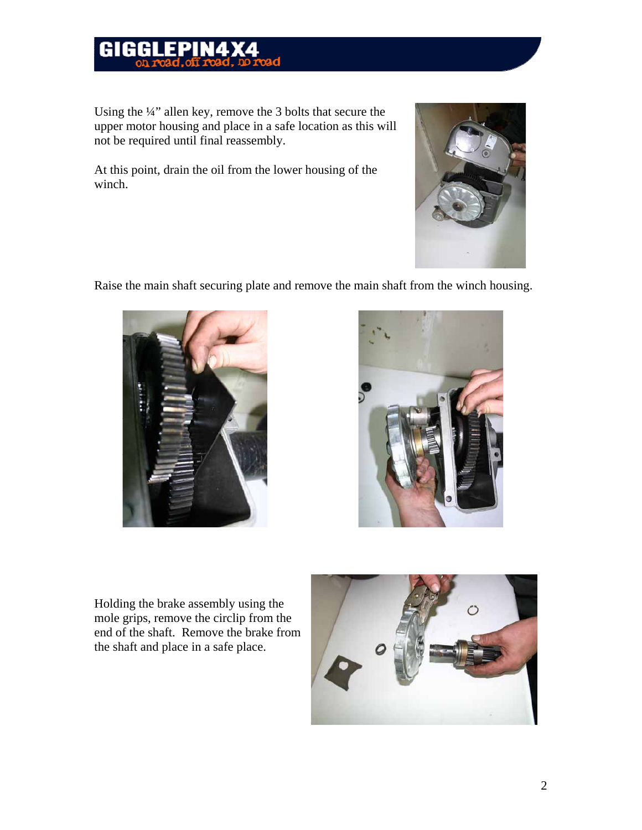#### **FPINAX** GIGGL

Using the ¼" allen key, remove the 3 bolts that secure the upper motor housing and place in a safe location as this will not be required until final reassembly.

At this point, drain the oil from the lower housing of the winch.



Raise the main shaft securing plate and remove the main shaft from the winch housing.





Holding the brake assembly using the mole grips, remove the circlip from the end of the shaft. Remove the brake from the shaft and place in a safe place.

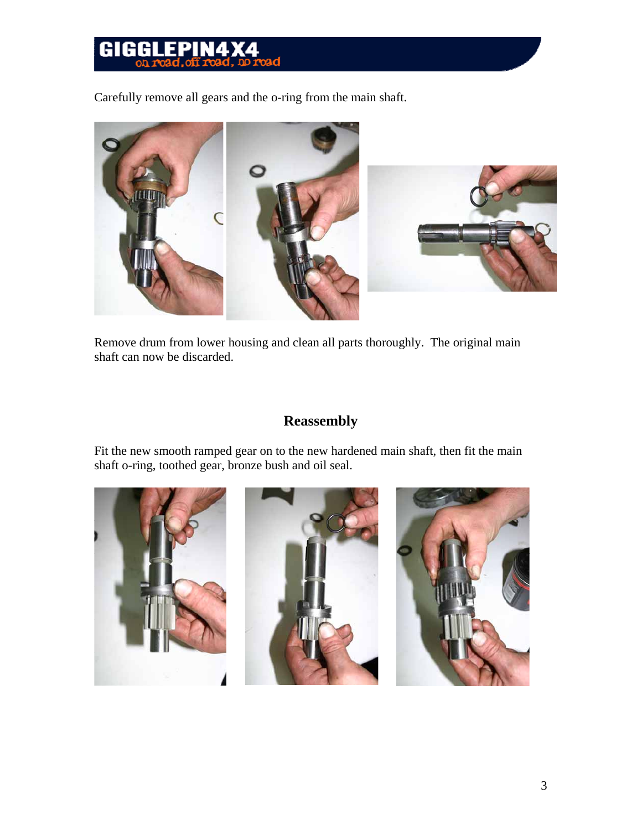### EPIN4 GIGGL

Carefully remove all gears and the o-ring from the main shaft.



Remove drum from lower housing and clean all parts thoroughly. The original main shaft can now be discarded.

### **Reassembly**

Fit the new smooth ramped gear on to the new hardened main shaft, then fit the main shaft o-ring, toothed gear, bronze bush and oil seal.

![](_page_2_Picture_6.jpeg)

![](_page_2_Picture_7.jpeg)

![](_page_2_Picture_8.jpeg)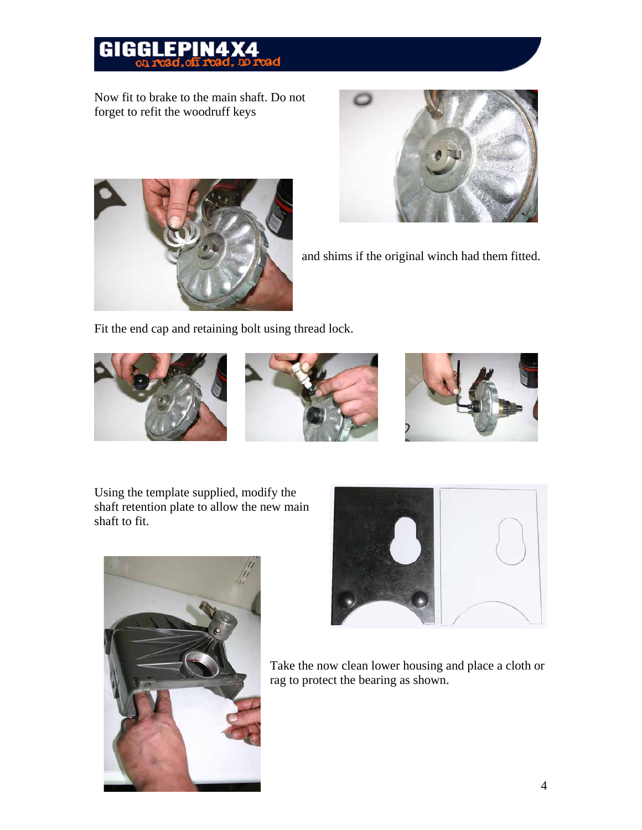## GIGGLEPIN4

Now fit to brake to the main shaft. Do not forget to refit the woodruff keys

![](_page_3_Picture_2.jpeg)

and shims if the original winch had them fitted.

Fit the end cap and retaining bolt using thread lock.

![](_page_3_Picture_5.jpeg)

Using the template supplied, modify the shaft retention plate to allow the new main shaft to fit.

![](_page_3_Picture_7.jpeg)

![](_page_3_Picture_8.jpeg)

Take the now clean lower housing and place a cloth or rag to protect the bearing as shown.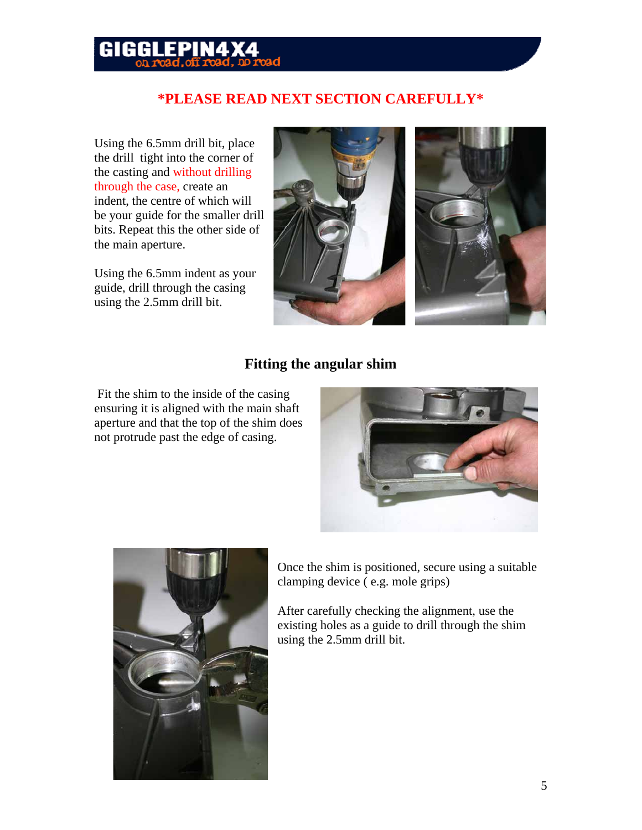#### RI FPIN*a* GIGI

#### **\*PLEASE READ NEXT SECTION CAREFULLY\***

Using the 6.5mm drill bit, place the drill tight into the corner of the casting and without drilling through the case, create an indent, the centre of which will be your guide for the smaller drill bits. Repeat this the other side of the main aperture.

Using the 6.5mm indent as your guide, drill through the casing using the 2.5mm drill bit.

![](_page_4_Picture_4.jpeg)

![](_page_4_Picture_5.jpeg)

#### **Fitting the angular shim**

 Fit the shim to the inside of the casing ensuring it is aligned with the main shaft aperture and that the top of the shim does not protrude past the edge of casing.

![](_page_4_Picture_8.jpeg)

![](_page_4_Picture_9.jpeg)

Once the shim is positioned, secure using a suitable clamping device ( e.g. mole grips)

After carefully checking the alignment, use the existing holes as a guide to drill through the shim using the 2.5mm drill bit.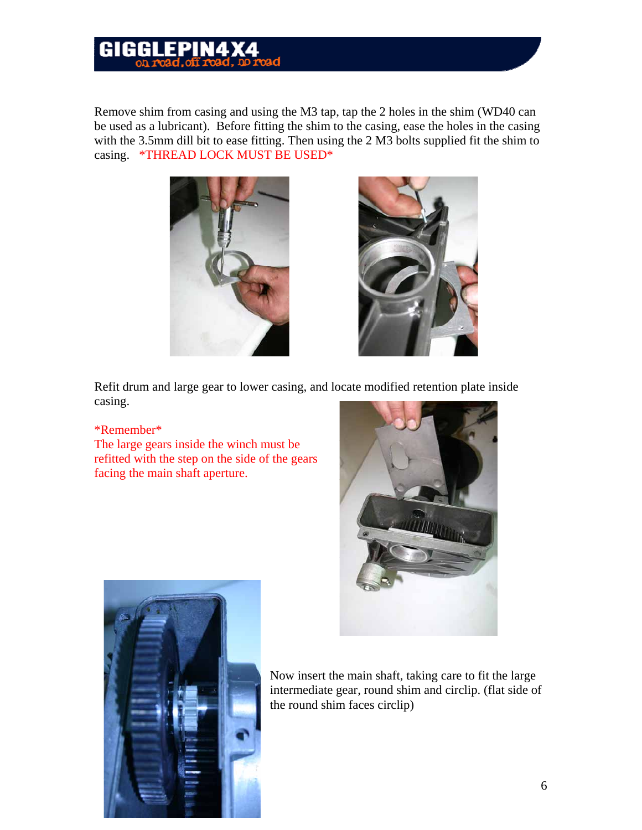#### FPIN4 GIGI

Remove shim from casing and using the M3 tap, tap the 2 holes in the shim (WD40 can be used as a lubricant). Before fitting the shim to the casing, ease the holes in the casing with the 3.5mm dill bit to ease fitting. Then using the 2 M3 bolts supplied fit the shim to casing. \*THREAD LOCK MUST BE USED\*

![](_page_5_Picture_2.jpeg)

![](_page_5_Picture_3.jpeg)

Refit drum and large gear to lower casing, and locate modified retention plate inside casing.

#### \*Remember\*

The large gears inside the winch must be refitted with the step on the side of the gears facing the main shaft aperture.

![](_page_5_Picture_7.jpeg)

![](_page_5_Picture_8.jpeg)

Now insert the main shaft, taking care to fit the large intermediate gear, round shim and circlip. (flat side of the round shim faces circlip)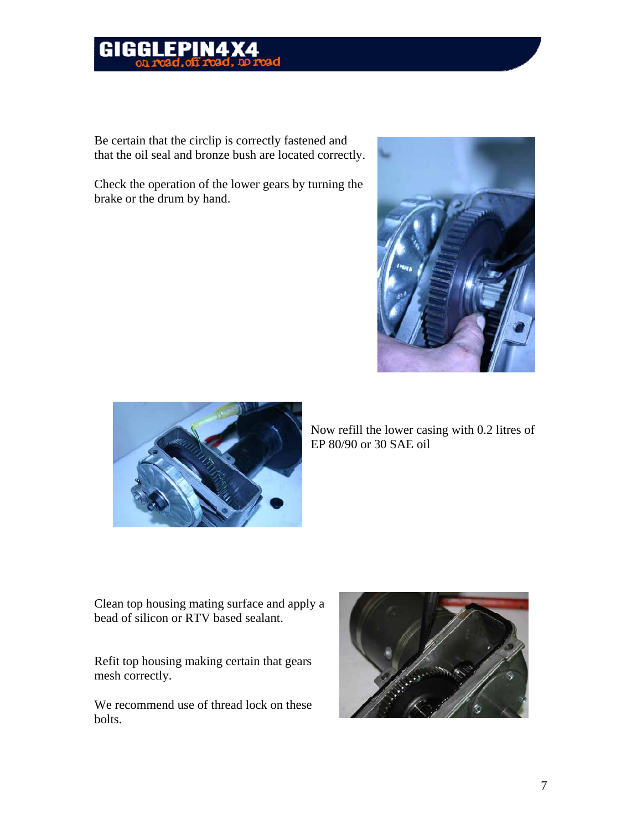![](_page_6_Picture_0.jpeg)

Be certain that the circlip is correctly fastened and that the oil seal and bronze bush are located correctly.

Check the operation of the lower gears by turning the brake or the drum by hand.

![](_page_6_Picture_3.jpeg)

![](_page_6_Picture_4.jpeg)

Now refill the lower casing with 0.2 litres of EP 80/90 or 30 SAE oil

Clean top housing mating surface and apply a bead of silicon or RTV based sealant.

Refit top housing making certain that gears mesh correctly.

We recommend use of thread lock on these bolts.

![](_page_6_Picture_9.jpeg)